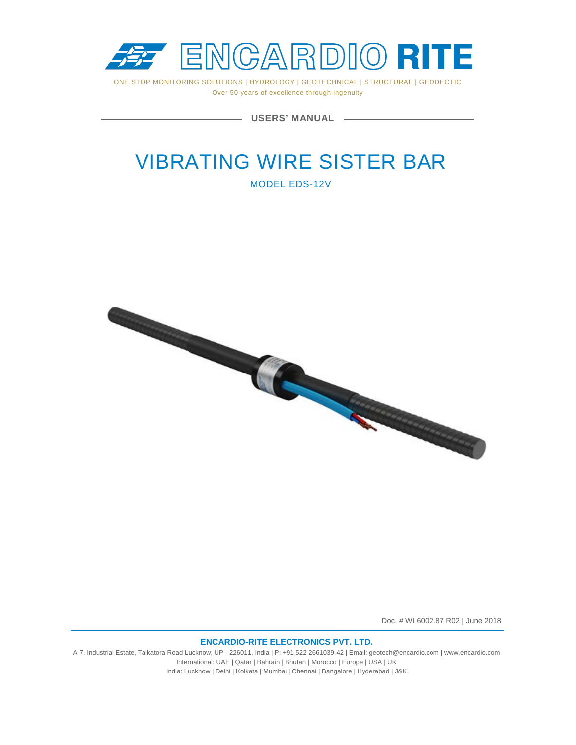

ONE STOP MONITORING SOLUTIONS | HYDROLOGY | GEOTECHNICAL | STRUCTURAL | GEODECTIC Over 50 years of excellence through ingenuity

**USERS' MANUAL**

# VIBRATING WIRE SISTER BAR

MODEL EDS-12V



Doc. # WI 6002.87 R02 | June 2018

#### **ENCARDIO-RITE ELECTRONICS PVT. LTD.**

A-7, Industrial Estate, Talkatora Road Lucknow, UP - 226011, India | P: +91 522 2661039-42 | Email: geotech@encardio.com | www.encardio.com International: UAE | Qatar | Bahrain | Bhutan | Morocco | Europe | USA | UK India: Lucknow | Delhi | Kolkata | Mumbai | Chennai | Bangalore | Hyderabad | J&K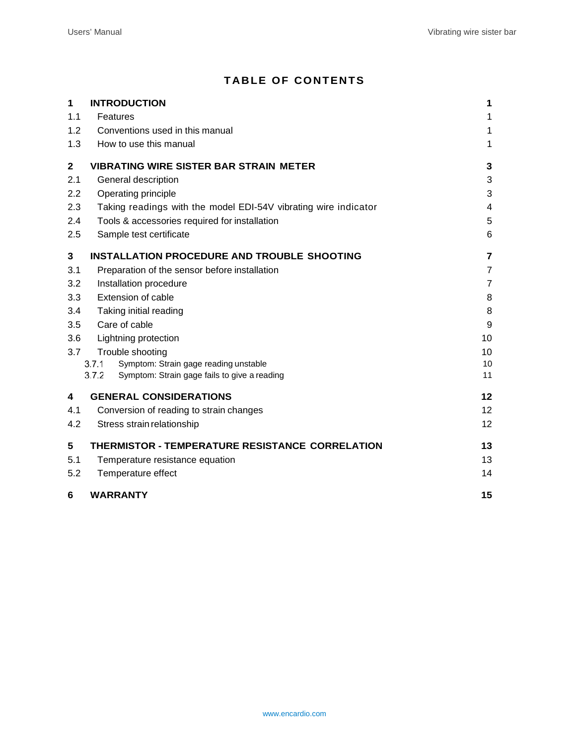## **TABLE OF CONTENTS**

| $\mathbf 1$      | <b>INTRODUCTION</b>                                                                                     | 1               |
|------------------|---------------------------------------------------------------------------------------------------------|-----------------|
| 1.1              | Features                                                                                                | 1               |
| 1.2              | Conventions used in this manual                                                                         | 1               |
| 1.3              | How to use this manual                                                                                  | 1               |
| $\mathbf{2}$     | <b>VIBRATING WIRE SISTER BAR STRAIN METER</b>                                                           | 3               |
| 2.1              | General description                                                                                     | 3               |
| $2.2\phantom{0}$ | Operating principle                                                                                     | 3               |
| 2.3              | Taking readings with the model EDI-54V vibrating wire indicator                                         | 4               |
| 2.4              | Tools & accessories required for installation                                                           | 5               |
| 2.5              | Sample test certificate                                                                                 | 6               |
| 3                | <b>INSTALLATION PROCEDURE AND TROUBLE SHOOTING</b>                                                      | 7               |
| 3.1              | Preparation of the sensor before installation                                                           | $\overline{7}$  |
| 3.2              | Installation procedure                                                                                  | 7               |
| 3.3              | <b>Extension of cable</b>                                                                               | 8               |
| 3.4              | Taking initial reading                                                                                  | 8               |
| 3.5              | Care of cable                                                                                           | 9               |
| 3.6              | Lightning protection                                                                                    | 10              |
| 3.7              | Trouble shooting                                                                                        | 10              |
|                  | Symptom: Strain gage reading unstable<br>3.7.1<br>3.7.2<br>Symptom: Strain gage fails to give a reading | 10<br>11        |
|                  |                                                                                                         |                 |
| 4                | <b>GENERAL CONSIDERATIONS</b>                                                                           | 12              |
| 4.1              | Conversion of reading to strain changes                                                                 | 12 <sup>2</sup> |
| 4.2              | Stress strain relationship                                                                              | 12              |
| 5                | THERMISTOR - TEMPERATURE RESISTANCE CORRELATION                                                         | 13              |
| 5.1              | Temperature resistance equation                                                                         | 13              |
| 5.2              | Temperature effect                                                                                      | 14              |
| 6                | <b>WARRANTY</b>                                                                                         | 15              |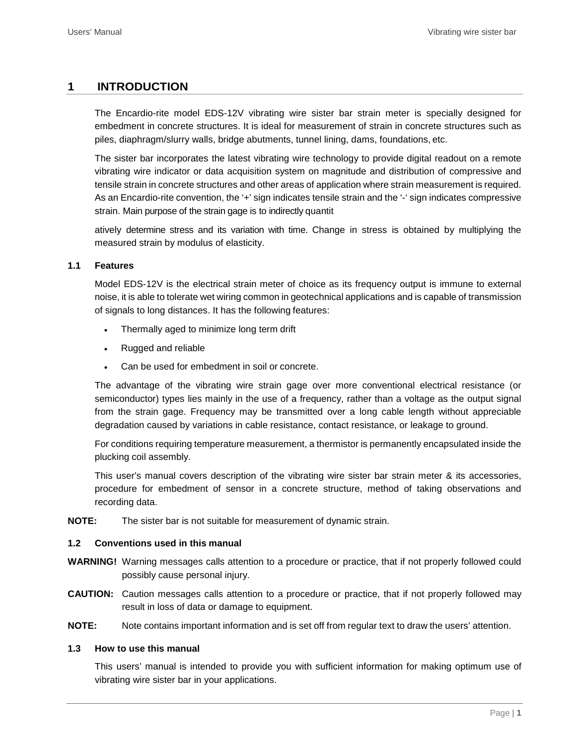## <span id="page-2-0"></span>**1 INTRODUCTION**

The Encardio-rite model EDS-12V vibrating wire sister bar strain meter is specially designed for embedment in concrete structures. It is ideal for measurement of strain in concrete structures such as piles, diaphragm/slurry walls, bridge abutments, tunnel lining, dams, foundations, etc.

The sister bar incorporates the latest vibrating wire technology to provide digital readout on a remote vibrating wire indicator or data acquisition system on magnitude and distribution of compressive and tensile strain in concrete structures and other areas of application where strain measurement is required. As an Encardio-rite convention, the '+' sign indicates tensile strain and the '-' sign indicates compressive strain. Main purpose of the strain gage is to indirectly quantit

atively determine stress and its variation with time. Change in stress is obtained by multiplying the measured strain by modulus of elasticity.

#### <span id="page-2-1"></span>**1.1 Features**

Model EDS-12V is the electrical strain meter of choice as its frequency output is immune to external noise, it is able to tolerate wet wiring common in geotechnical applications and is capable of transmission of signals to long distances. It has the following features:

- Thermally aged to minimize long term drift
- Rugged and reliable
- Can be used for embedment in soil or concrete.

The advantage of the vibrating wire strain gage over more conventional electrical resistance (or semiconductor) types lies mainly in the use of a frequency, rather than a voltage as the output signal from the strain gage. Frequency may be transmitted over a long cable length without appreciable degradation caused by variations in cable resistance, contact resistance, or leakage to ground.

For conditions requiring temperature measurement, a thermistor is permanently encapsulated inside the plucking coil assembly.

This user's manual covers description of the vibrating wire sister bar strain meter & its accessories, procedure for embedment of sensor in a concrete structure, method of taking observations and recording data.

**NOTE:** The sister bar is not suitable for measurement of dynamic strain.

#### <span id="page-2-2"></span>**1.2 Conventions used in this manual**

- **WARNING!** Warning messages calls attention to a procedure or practice, that if not properly followed could possibly cause personal injury.
- **CAUTION:** Caution messages calls attention to a procedure or practice, that if not properly followed may result in loss of data or damage to equipment.
- **NOTE:** Note contains important information and is set off from regular text to draw the users' attention.

#### <span id="page-2-3"></span>**1.3 How to use this manual**

This users' manual is intended to provide you with sufficient information for making optimum use of vibrating wire sister bar in your applications.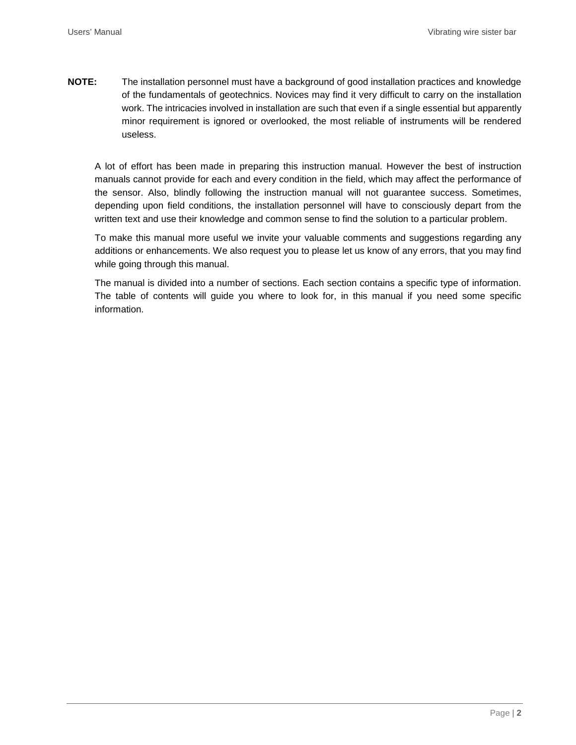**NOTE:** The installation personnel must have a background of good installation practices and knowledge of the fundamentals of geotechnics. Novices may find it very difficult to carry on the installation work. The intricacies involved in installation are such that even if a single essential but apparently minor requirement is ignored or overlooked, the most reliable of instruments will be rendered useless.

A lot of effort has been made in preparing this instruction manual. However the best of instruction manuals cannot provide for each and every condition in the field, which may affect the performance of the sensor. Also, blindly following the instruction manual will not guarantee success. Sometimes, depending upon field conditions, the installation personnel will have to consciously depart from the written text and use their knowledge and common sense to find the solution to a particular problem.

To make this manual more useful we invite your valuable comments and suggestions regarding any additions or enhancements. We also request you to please let us know of any errors, that you may find while going through this manual.

The manual is divided into a number of sections. Each section contains a specific type of information. The table of contents will guide you where to look for, in this manual if you need some specific information.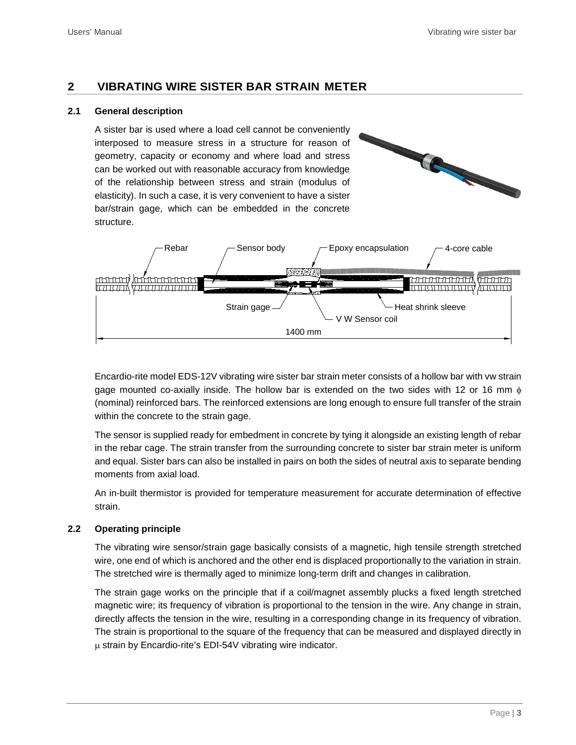## <span id="page-4-0"></span>**2 VIBRATING WIRE SISTER BAR STRAIN METER**

#### <span id="page-4-1"></span>**2.1 General description**

A sister bar is used where a load cell cannot be conveniently interposed to measure stress in a structure for reason of geometry, capacity or economy and where load and stress can be worked out with reasonable accuracy from knowledge of the relationship between stress and strain (modulus of elasticity). In such a case, it is very convenient to have a sister bar/strain gage, which can be embedded in the concrete structure.



Encardio-rite model EDS-12V vibrating wire sister bar strain meter consists of a hollow bar with vw strain gage mounted co-axially inside. The hollow bar is extended on the two sides with 12 or 16 mm  $\phi$ (nominal) reinforced bars. The reinforced extensions are long enough to ensure full transfer of the strain within the concrete to the strain gage.

The sensor is supplied ready for embedment in concrete by tying it alongside an existing length of rebar in the rebar cage. The strain transfer from the surrounding concrete to sister bar strain meter is uniform and equal. Sister bars can also be installed in pairs on both the sides of neutral axis to separate bending moments from axial load.

An in-built thermistor is provided for temperature measurement for accurate determination of effective strain.

#### <span id="page-4-2"></span>**2.2 Operating principle**

The vibrating wire sensor/strain gage basically consists of a magnetic, high tensile strength stretched wire, one end of which is anchored and the other end is displaced proportionally to the variation in strain. The stretched wire is thermally aged to minimize long-term drift and changes in calibration.

The strain gage works on the principle that if a coil/magnet assembly plucks a fixed length stretched magnetic wire; its frequency of vibration is proportional to the tension in the wire. Any change in strain, directly affects the tension in the wire, resulting in a corresponding change in its frequency of vibration. The strain is proportional to the square of the frequency that can be measured and displayed directly in µ strain by Encardio-rite's EDI-54V vibrating wire indicator.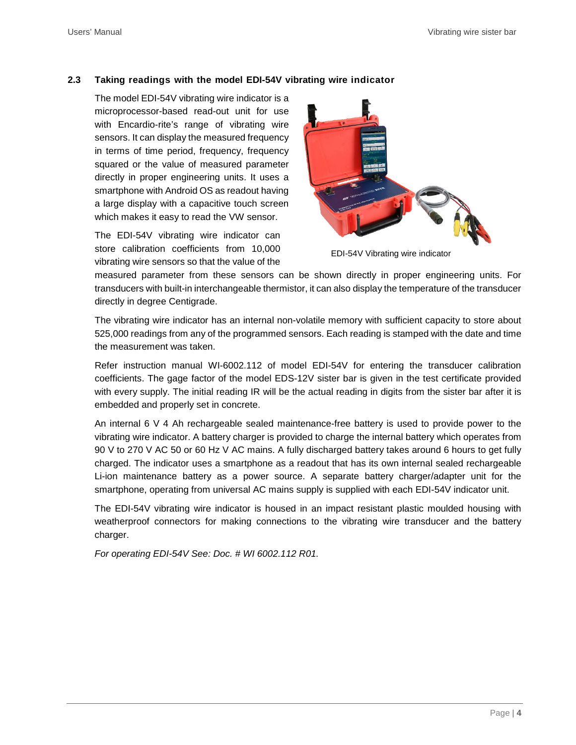#### <span id="page-5-0"></span>**2.3 Taking readings with the model EDI-54V vibrating wire indicator**

The model EDI-54V vibrating wire indicator is a microprocessor-based read-out unit for use with Encardio-rite's range of vibrating wire sensors. It can display the measured frequency in terms of time period, frequency, frequency squared or the value of measured parameter directly in proper engineering units. It uses a smartphone with Android OS as readout having a large display with a capacitive touch screen which makes it easy to read the VW sensor.

The EDI-54V vibrating wire indicator can store calibration coefficients from 10,000 vibrating wire sensors so that the value of the



EDI-54V Vibrating wire indicator

measured parameter from these sensors can be shown directly in proper engineering units. For transducers with built-in interchangeable thermistor, it can also display the temperature of the transducer directly in degree Centigrade.

The vibrating wire indicator has an internal non-volatile memory with sufficient capacity to store about 525,000 readings from any of the programmed sensors. Each reading is stamped with the date and time the measurement was taken.

Refer instruction manual WI-6002.112 of model EDI-54V for entering the transducer calibration coefficients. The gage factor of the model EDS-12V sister bar is given in the test certificate provided with every supply. The initial reading IR will be the actual reading in digits from the sister bar after it is embedded and properly set in concrete.

An internal 6 V 4 Ah rechargeable sealed maintenance-free battery is used to provide power to the vibrating wire indicator. A battery charger is provided to charge the internal battery which operates from 90 V to 270 V AC 50 or 60 Hz V AC mains. A fully discharged battery takes around 6 hours to get fully charged. The indicator uses a smartphone as a readout that has its own internal sealed rechargeable Li-ion maintenance battery as a power source. A separate battery charger/adapter unit for the smartphone, operating from universal AC mains supply is supplied with each EDI-54V indicator unit.

The EDI-54V vibrating wire indicator is housed in an impact resistant plastic moulded housing with weatherproof connectors for making connections to the vibrating wire transducer and the battery charger.

*For operating EDI-54V See: Doc. # WI 6002.112 R01.*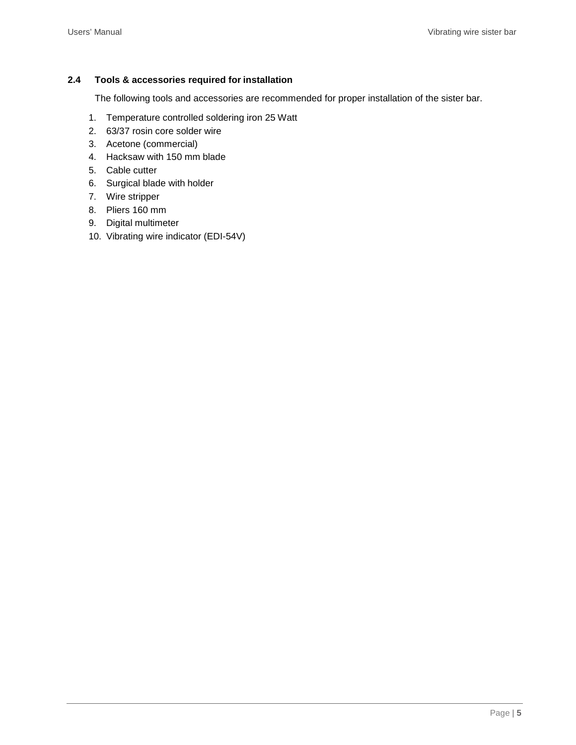#### <span id="page-6-0"></span>**2.4 Tools & accessories required for installation**

The following tools and accessories are recommended for proper installation of the sister bar.

- 1. Temperature controlled soldering iron 25 Watt
- 2. 63/37 rosin core solder wire
- 3. Acetone (commercial)
- 4. Hacksaw with 150 mm blade
- 5. Cable cutter
- 6. Surgical blade with holder
- 7. Wire stripper
- 8. Pliers 160 mm
- 9. Digital multimeter
- 10. Vibrating wire indicator (EDI-54V)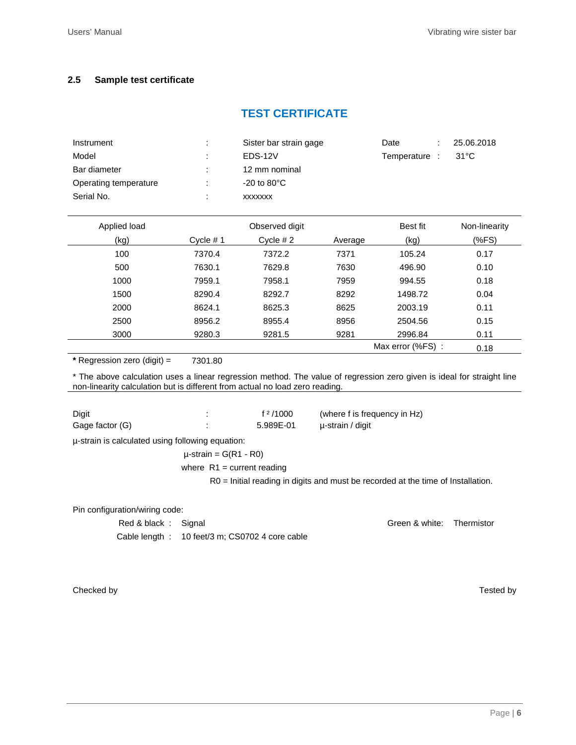#### <span id="page-7-0"></span>**2.5 Sample test certificate**

## **TEST CERTIFICATE**

| Instrument            | ٠. | Sister bar strain gage  | Date          | 25.06.2018 |
|-----------------------|----|-------------------------|---------------|------------|
| Model                 | ٠  | EDS-12V                 | Temperature : | 31°C       |
| Bar diameter          | ٠  | 12 mm nominal           |               |            |
| Operating temperature | ÷  | $-20$ to $80^{\circ}$ C |               |            |
| Serial No.            |    | <b>XXXXXXX</b>          |               |            |

| Applied load | Observed digit |            | Best fit | Non-linearity    |      |
|--------------|----------------|------------|----------|------------------|------|
| (kg)         | Cycle $# 1$    | Cycle $#2$ | Average  | (kg)             | (%   |
| 100          | 7370.4         | 7372.2     | 7371     | 105.24           | 0.17 |
| 500          | 7630.1         | 7629.8     | 7630     | 496.90           | 0.10 |
| 1000         | 7959.1         | 7958.1     | 7959     | 994.55           | 0.18 |
| 1500         | 8290.4         | 8292.7     | 8292     | 1498.72          | 0.04 |
| 2000         | 8624.1         | 8625.3     | 8625     | 2003.19          | 0.11 |
| 2500         | 8956.2         | 8955.4     | 8956     | 2504.56          | 0.15 |
| 3000         | 9280.3         | 9281.5     | 9281     | 2996.84          | 0.11 |
|              |                |            |          | Max error (%FS): | 0.18 |

**\*** Regression zero (digit) = 7301.80

\* The above calculation uses a linear regression method. The value of regression zero given is ideal for straight line non-linearity calculation but is different from actual no load zero reading.

| Digit           | f $2/1000$ | (where f is frequency in Hz) |
|-----------------|------------|------------------------------|
| Gage factor (G) | 5.989E-01  | u-strain / digit             |

µ-strain is calculated using following equation:

 $\mu$ -strain = G(R1 - R0) where  $R1$  = current reading

R0 = Initial reading in digits and must be recorded at the time of Installation.

Pin configuration/wiring code:

| Red & black: Signal |                                                 | Green & white: Thermistor |  |
|---------------------|-------------------------------------------------|---------------------------|--|
|                     | Cable length : 10 feet/3 m; CS0702 4 core cable |                           |  |

Checked by Tested by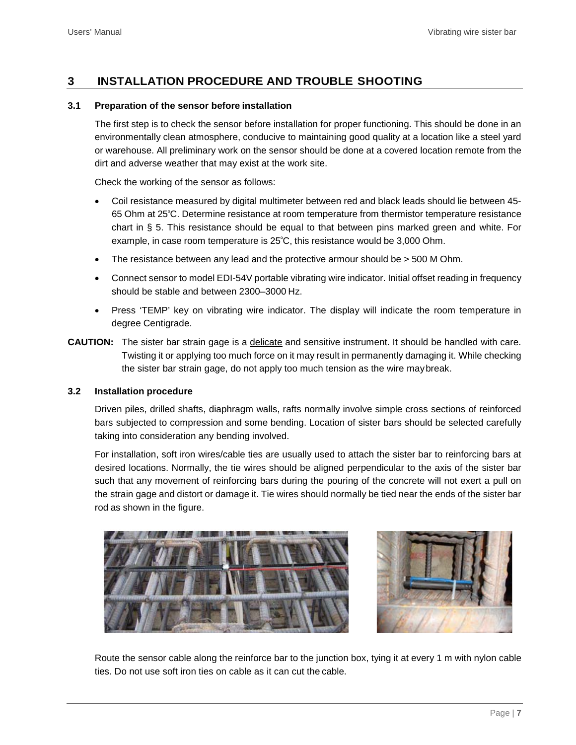## <span id="page-8-0"></span>**3 INSTALLATION PROCEDURE AND TROUBLE SHOOTING**

#### <span id="page-8-1"></span>**3.1 Preparation of the sensor before installation**

The first step is to check the sensor before installation for proper functioning. This should be done in an environmentally clean atmosphere, conducive to maintaining good quality at a location like a steel yard or warehouse. All preliminary work on the sensor should be done at a covered location remote from the dirt and adverse weather that may exist at the work site.

Check the working of the sensor as follows:

- Coil resistance measured by digital multimeter between red and black leads should lie between 45- 65 Ohm at 25º C. Determine resistance at room temperature from thermistor temperature resistance chart in § 5. This resistance should be equal to that between pins marked green and white. For example, in case room temperature is 25º C, this resistance would be 3,000 Ohm.
- The resistance between any lead and the protective armour should be  $>$  500 M Ohm.
- Connect sensor to model EDI-54V portable vibrating wire indicator. Initial offset reading in frequency should be stable and between 2300–3000 Hz.
- Press 'TEMP' key on vibrating wire indicator. The display will indicate the room temperature in degree Centigrade.
- **CAUTION:** The sister bar strain gage is a delicate and sensitive instrument. It should be handled with care. Twisting it or applying too much force on it may result in permanently damaging it. While checking the sister bar strain gage, do not apply too much tension as the wire maybreak.

#### <span id="page-8-2"></span>**3.2 Installation procedure**

Driven piles, drilled shafts, diaphragm walls, rafts normally involve simple cross sections of reinforced bars subjected to compression and some bending. Location of sister bars should be selected carefully taking into consideration any bending involved.

For installation, soft iron wires/cable ties are usually used to attach the sister bar to reinforcing bars at desired locations. Normally, the tie wires should be aligned perpendicular to the axis of the sister bar such that any movement of reinforcing bars during the pouring of the concrete will not exert a pull on the strain gage and distort or damage it. Tie wires should normally be tied near the ends of the sister bar rod as shown in the figure.





Route the sensor cable along the reinforce bar to the junction box, tying it at every 1 m with nylon cable ties. Do not use soft iron ties on cable as it can cut the cable.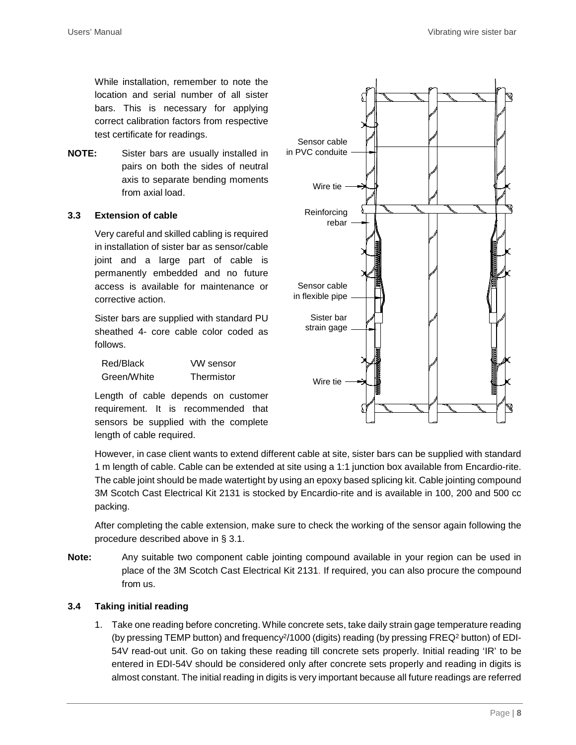While installation, remember to note the location and serial number of all sister bars. This is necessary for applying correct calibration factors from respective test certificate for readings.

**NOTE:** Sister bars are usually installed in pairs on both the sides of neutral axis to separate bending moments from axial load.

#### <span id="page-9-0"></span>**3.3 Extension of cable**

Very careful and skilled cabling is required in installation of sister bar as sensor/cable joint and a large part of cable is permanently embedded and no future access is available for maintenance or corrective action.

Sister bars are supplied with standard PU sheathed 4- core cable color coded as follows.

| Red/Black   | VW sensor  |
|-------------|------------|
| Green/White | Thermistor |

Length of cable depends on customer requirement. It is recommended that sensors be supplied with the complete length of cable required.



However, in case client wants to extend different cable at site, sister bars can be supplied with standard 1 m length of cable. Cable can be extended at site using a 1:1 junction box available from Encardio-rite. The cable joint should be made watertight by using an epoxy based splicing kit. Cable jointing compound 3M Scotch Cast Electrical Kit 2131 is stocked by Encardio-rite and is available in 100, 200 and 500 cc packing.

After completing the cable extension, make sure to check the working of the sensor again following the procedure described above in § 3.1.

**Note:** Any suitable two component cable jointing compound available in your region can be used in place of the 3M Scotch Cast Electrical Kit 2131. If required, you can also procure the compound from us.

#### <span id="page-9-1"></span>**3.4 Taking initial reading**

1. Take one reading before concreting. While concrete sets, take daily strain gage temperature reading (by pressing TEMP button) and frequency<sup>2</sup>/1000 (digits) reading (by pressing FREQ<sup>2</sup> button) of EDI-54V read-out unit. Go on taking these reading till concrete sets properly. Initial reading 'IR' to be entered in EDI-54V should be considered only after concrete sets properly and reading in digits is almost constant. The initial reading in digits is very important because all future readings are referred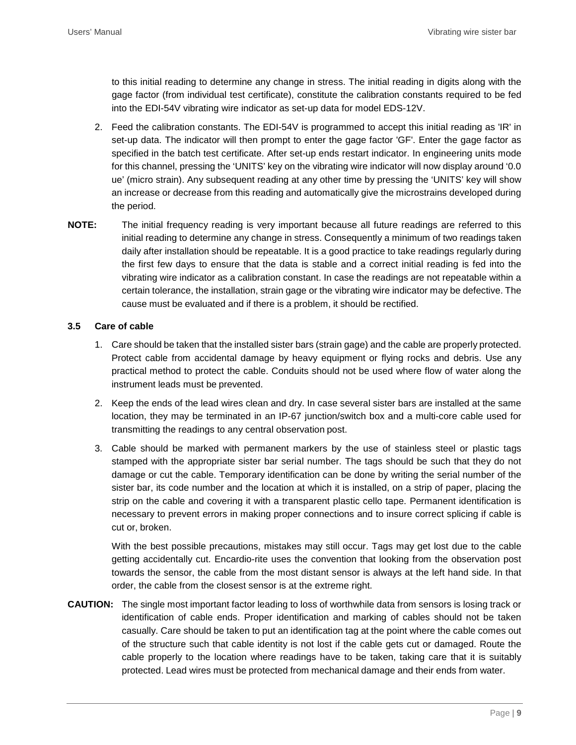to this initial reading to determine any change in stress. The initial reading in digits along with the gage factor (from individual test certificate), constitute the calibration constants required to be fed into the EDI-54V vibrating wire indicator as set-up data for model EDS-12V.

- 2. Feed the calibration constants. The EDI-54V is programmed to accept this initial reading as 'IR' in set-up data. The indicator will then prompt to enter the gage factor 'GF'. Enter the gage factor as specified in the batch test certificate. After set-up ends restart indicator. In engineering units mode for this channel, pressing the 'UNITS' key on the vibrating wire indicator will now display around '0.0 ue' (micro strain). Any subsequent reading at any other time by pressing the 'UNITS' key will show an increase or decrease from this reading and automatically give the microstrains developed during the period.
- **NOTE:** The initial frequency reading is very important because all future readings are referred to this initial reading to determine any change in stress. Consequently a minimum of two readings taken daily after installation should be repeatable. It is a good practice to take readings regularly during the first few days to ensure that the data is stable and a correct initial reading is fed into the vibrating wire indicator as a calibration constant. In case the readings are not repeatable within a certain tolerance, the installation, strain gage or the vibrating wire indicator may be defective. The cause must be evaluated and if there is a problem, it should be rectified.

#### <span id="page-10-0"></span>**3.5 Care of cable**

- 1. Care should be taken that the installed sister bars (strain gage) and the cable are properly protected. Protect cable from accidental damage by heavy equipment or flying rocks and debris. Use any practical method to protect the cable. Conduits should not be used where flow of water along the instrument leads must be prevented.
- 2. Keep the ends of the lead wires clean and dry. In case several sister bars are installed at the same location, they may be terminated in an IP-67 junction/switch box and a multi-core cable used for transmitting the readings to any central observation post.
- 3. Cable should be marked with permanent markers by the use of stainless steel or plastic tags stamped with the appropriate sister bar serial number. The tags should be such that they do not damage or cut the cable. Temporary identification can be done by writing the serial number of the sister bar, its code number and the location at which it is installed, on a strip of paper, placing the strip on the cable and covering it with a transparent plastic cello tape. Permanent identification is necessary to prevent errors in making proper connections and to insure correct splicing if cable is cut or, broken.

With the best possible precautions, mistakes may still occur. Tags may get lost due to the cable getting accidentally cut. Encardio-rite uses the convention that looking from the observation post towards the sensor, the cable from the most distant sensor is always at the left hand side. In that order, the cable from the closest sensor is at the extreme right.

**CAUTION:** The single most important factor leading to loss of worthwhile data from sensors is losing track or identification of cable ends. Proper identification and marking of cables should not be taken casually. Care should be taken to put an identification tag at the point where the cable comes out of the structure such that cable identity is not lost if the cable gets cut or damaged. Route the cable properly to the location where readings have to be taken, taking care that it is suitably protected. Lead wires must be protected from mechanical damage and their ends from water.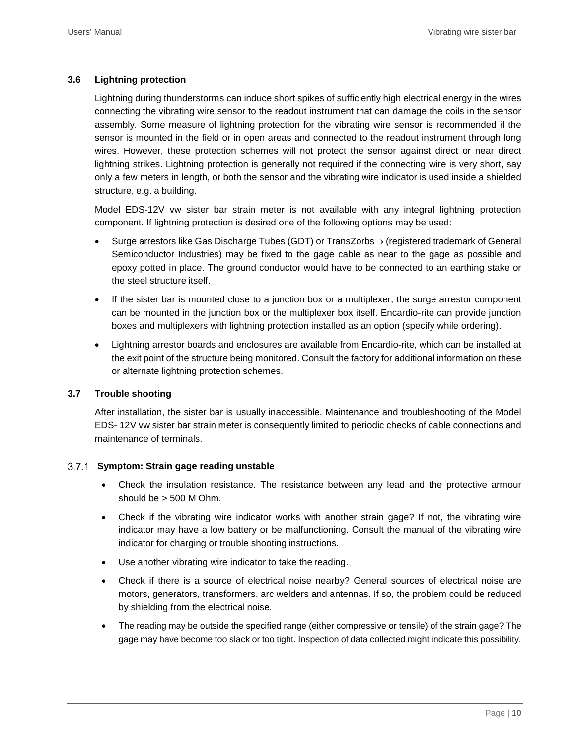#### <span id="page-11-0"></span>**3.6 Lightning protection**

Lightning during thunderstorms can induce short spikes of sufficiently high electrical energy in the wires connecting the vibrating wire sensor to the readout instrument that can damage the coils in the sensor assembly. Some measure of lightning protection for the vibrating wire sensor is recommended if the sensor is mounted in the field or in open areas and connected to the readout instrument through long wires. However, these protection schemes will not protect the sensor against direct or near direct lightning strikes. Lightning protection is generally not required if the connecting wire is very short, say only a few meters in length, or both the sensor and the vibrating wire indicator is used inside a shielded structure, e.g. a building.

Model EDS-12V vw sister bar strain meter is not available with any integral lightning protection component. If lightning protection is desired one of the following options may be used:

- Surge arrestors like Gas Discharge Tubes (GDT) or TransZorbs→ (registered trademark of General Semiconductor Industries) may be fixed to the gage cable as near to the gage as possible and epoxy potted in place. The ground conductor would have to be connected to an earthing stake or the steel structure itself.
- If the sister bar is mounted close to a junction box or a multiplexer, the surge arrestor component can be mounted in the junction box or the multiplexer box itself. Encardio-rite can provide junction boxes and multiplexers with lightning protection installed as an option (specify while ordering).
- Lightning arrestor boards and enclosures are available from Encardio-rite, which can be installed at the exit point of the structure being monitored. Consult the factory for additional information on these or alternate lightning protection schemes.

#### <span id="page-11-1"></span>**3.7 Trouble shooting**

After installation, the sister bar is usually inaccessible. Maintenance and troubleshooting of the Model EDS- 12V vw sister bar strain meter is consequently limited to periodic checks of cable connections and maintenance of terminals.

#### <span id="page-11-2"></span>**Symptom: Strain gage reading unstable**

- Check the insulation resistance. The resistance between any lead and the protective armour should be > 500 M Ohm.
- Check if the vibrating wire indicator works with another strain gage? If not, the vibrating wire indicator may have a low battery or be malfunctioning. Consult the manual of the vibrating wire indicator for charging or trouble shooting instructions.
- Use another vibrating wire indicator to take the reading.
- Check if there is a source of electrical noise nearby? General sources of electrical noise are motors, generators, transformers, arc welders and antennas. If so, the problem could be reduced by shielding from the electrical noise.
- The reading may be outside the specified range (either compressive or tensile) of the strain gage? The gage may have become too slack or too tight. Inspection of data collected might indicate this possibility.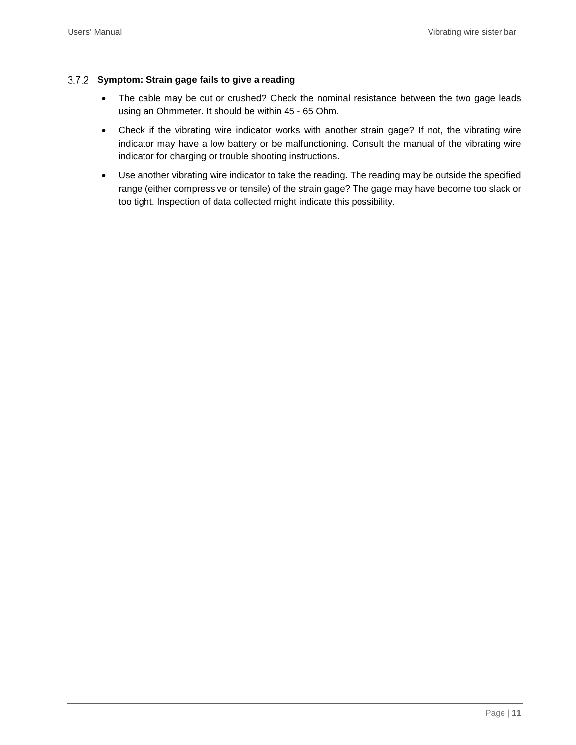#### <span id="page-12-0"></span>**Symptom: Strain gage fails to give a reading**

- The cable may be cut or crushed? Check the nominal resistance between the two gage leads using an Ohmmeter. It should be within 45 - 65 Ohm.
- Check if the vibrating wire indicator works with another strain gage? If not, the vibrating wire indicator may have a low battery or be malfunctioning. Consult the manual of the vibrating wire indicator for charging or trouble shooting instructions.
- Use another vibrating wire indicator to take the reading. The reading may be outside the specified range (either compressive or tensile) of the strain gage? The gage may have become too slack or too tight. Inspection of data collected might indicate this possibility.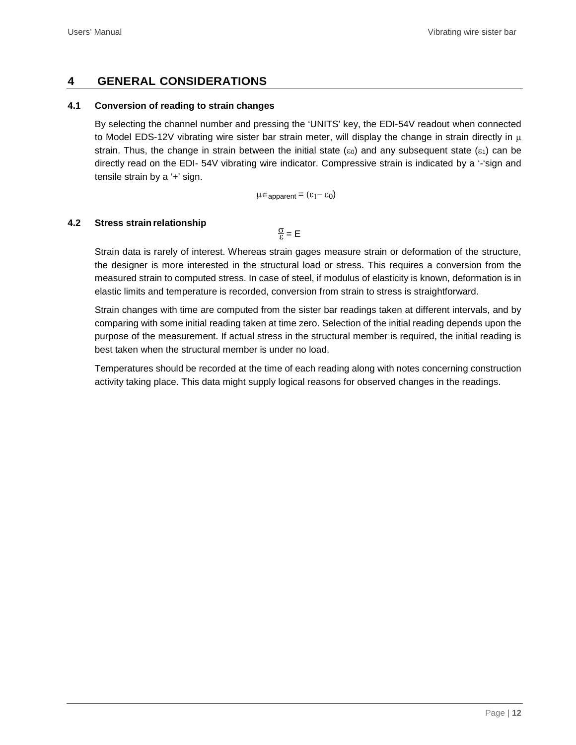## <span id="page-13-0"></span>**4 GENERAL CONSIDERATIONS**

#### <span id="page-13-1"></span>**4.1 Conversion of reading to strain changes**

By selecting the channel number and pressing the 'UNITS' key, the EDI-54V readout when connected to Model EDS-12V vibrating wire sister bar strain meter, will display the change in strain directly in  $\mu$ strain. Thus, the change in strain between the initial state ( $\varepsilon$ <sub>0</sub>) and any subsequent state ( $\varepsilon$ <sub>1</sub>) can be directly read on the EDI- 54V vibrating wire indicator. Compressive strain is indicated by a '-'sign and tensile strain by a '+' sign.

 $\mu \in$  apparent =  $(\epsilon_1 - \epsilon_0)$ 

#### <span id="page-13-2"></span>**4.2** Stress strain relationship

 $\frac{\sigma}{c}$  = E

Strain data is rarely of interest. Whereas strain gages measure strain or deformation of the structure, the designer is more interested in the structural load or stress. This requires a conversion from the measured strain to computed stress. In case of steel, if modulus of elasticity is known, deformation is in elastic limits and temperature is recorded, conversion from strain to stress is straightforward.

Strain changes with time are computed from the sister bar readings taken at different intervals, and by comparing with some initial reading taken at time zero. Selection of the initial reading depends upon the purpose of the measurement. If actual stress in the structural member is required, the initial reading is best taken when the structural member is under no load.

Temperatures should be recorded at the time of each reading along with notes concerning construction activity taking place. This data might supply logical reasons for observed changes in the readings.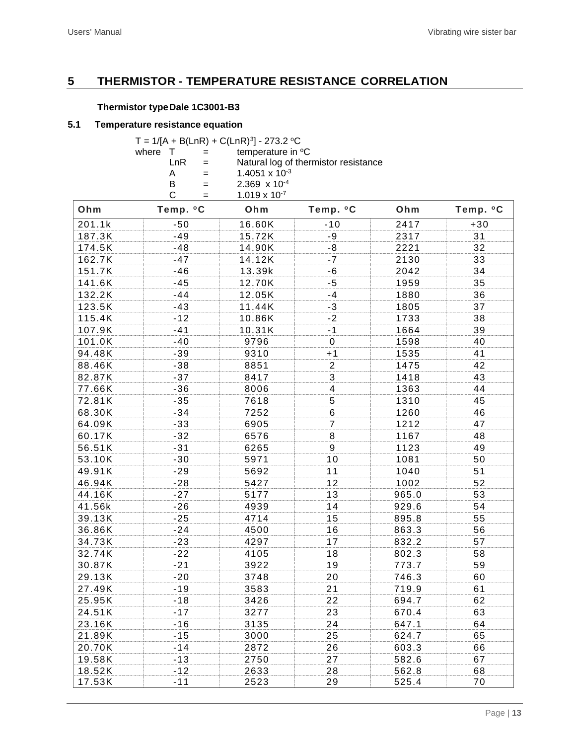## <span id="page-14-0"></span>**5 THERMISTOR - TEMPERATURE RESISTANCE CORRELATION**

#### **Thermistor typeDale 1C3001-B3**

#### <span id="page-14-1"></span>**5.1 Temperature resistance equation**

|       |     | T = $1/[A + B(LnR) + C(LnR)^3] - 273.2$ °C |
|-------|-----|--------------------------------------------|
| where |     | temperature in °C                          |
|       | LnR | Natural log of thermistor resistance       |
|       | А   | 1.4051 x $10^{-3}$                         |
|       | B   | $2.369 \times 10^{-4}$                     |
|       |     | $1.019 \times 10^{-7}$                     |

| Ohm    | Temp. °C | Ohm    | Temp. °C       | Ohm   | Temp. °C |
|--------|----------|--------|----------------|-------|----------|
| 201.1k | $-50$    | 16.60K | $-10$          | 2417  | $+30$    |
| 187.3K | $-49$    | 15.72K | $-9$           | 2317  | 31       |
| 174.5K | $-48$    | 14.90K | $-8$           | 2221  | 32       |
| 162.7K | $-47$    | 14.12K | $-7$           | 2130  | 33       |
| 151.7K | $-46$    | 13.39k | $-6$           | 2042  | 34       |
| 141.6K | $-45$    | 12.70K | $-5$           | 1959  | 35       |
| 132.2K | $-44$    | 12.05K | $-4$           | 1880  | 36       |
| 123.5K | $-43$    | 11.44K | $-3$           | 1805  | 37       |
| 115.4K | $-12$    | 10.86K | $-2$           | 1733  | 38       |
| 107.9K | $-41$    | 10.31K | $-1$           | 1664  | 39       |
| 101.0K | $-40$    | 9796   | $\mathbf 0$    | 1598  | 40       |
| 94.48K | $-39$    | 9310   | $+1$           | 1535  | 41       |
| 88.46K | $-38$    | 8851   | $\overline{c}$ | 1475  | 42       |
| 82.87K | $-37$    | 8417   | 3              | 1418  | 43       |
| 77.66K | $-36$    | 8006   | $\overline{4}$ | 1363  | 44       |
| 72.81K | $-35$    | 7618   | 5              | 1310  | 45       |
| 68.30K | $-34$    | 7252   | 6              | 1260  | 46       |
| 64.09K | $-33$    | 6905   | 7              | 1212  | 47       |
| 60.17K | $-32$    | 6576   | 8              | 1167  | 48       |
| 56.51K | $-31$    | 6265   | 9              | 1123  | 49       |
| 53.10K | $-30$    | 5971   | 10             | 1081  | 50       |
| 49.91K | $-29$    | 5692   | 11             | 1040  | 51       |
| 46.94K | $-28$    | 5427   | 12             | 1002  | 52       |
| 44.16K | $-27$    | 5177   | 13             | 965.0 | 53       |
| 41.56k | $-26$    | 4939   | 14             | 929.6 | 54       |
| 39.13K | $-25$    | 4714   | 15             | 895.8 | 55       |
| 36.86K | $-24$    | 4500   | 16             | 863.3 | 56       |
| 34.73K | $-23$    | 4297   | 17             | 832.2 | 57       |
| 32.74K | $-22$    | 4105   | 18             | 802.3 | 58       |
| 30.87K | $-21$    | 3922   | 19             | 773.7 | 59       |
| 29.13K | $-20$    | 3748   | 20             | 746.3 | 60       |
| 27.49K | $-19$    | 3583   | 21             | 719.9 | 61       |
| 25.95K | $-18$    | 3426   | 22             | 694.7 | 62       |
| 24.51K | $-17$    | 3277   | 23             | 670.4 | 63       |
| 23.16K | $-16$    | 3135   | 24             | 647.1 | 64       |
| 21.89K | $-15$    | 3000   | 25             | 624.7 | 65       |
| 20.70K | $-14$    | 2872   | 26             | 603.3 | 66       |
| 19.58K | $-13$    | 2750   | 27             | 582.6 | 67       |
| 18.52K | $-12$    | 2633   | 28             | 562.8 | 68       |
| 17.53K | $-11$    | 2523   | 29             | 525.4 | 70       |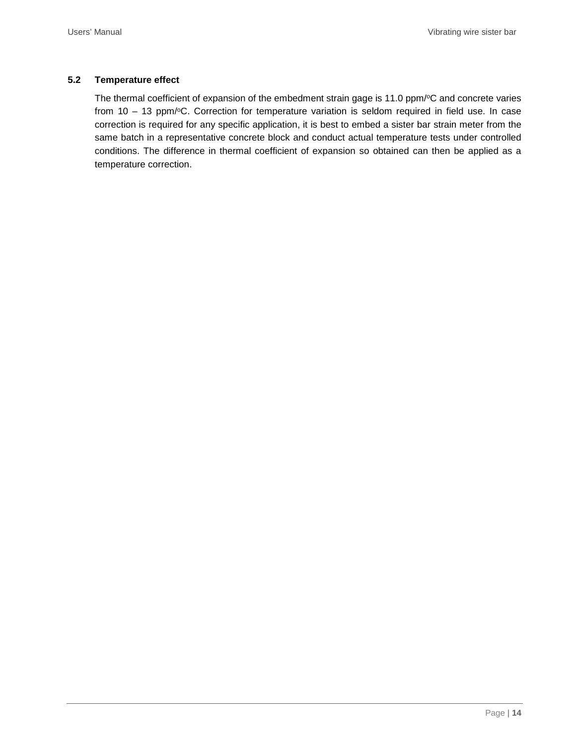#### <span id="page-15-0"></span>**5.2 Temperature effect**

The thermal coefficient of expansion of the embedment strain gage is 11.0 ppm/°C and concrete varies from  $10 - 13$  ppm/ $\degree$ C. Correction for temperature variation is seldom required in field use. In case correction is required for any specific application, it is best to embed a sister bar strain meter from the same batch in a representative concrete block and conduct actual temperature tests under controlled conditions. The difference in thermal coefficient of expansion so obtained can then be applied as a temperature correction.